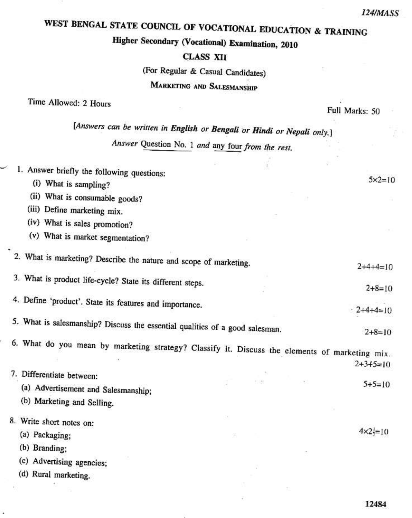## WEST BENGAL STATE COUNCIL OF VOCATIONAL EDUCATION & TRAINING

## Higher Secondary (Vocational) Examination, 2010

## **CLASS XII**

(For Regular & Casual Candidates)

## MARKETING AND SALESMANSHIP

Time Allowed: 2 Hours

í,

Full Marks: 50

89

| (Answers can be written in English or Bengali or Hindi or Nepali only.) |  |  |  |  |  |
|-------------------------------------------------------------------------|--|--|--|--|--|
|                                                                         |  |  |  |  |  |

Answer Question No. 1 and any four from the rest.

| 1. Answer briefly the following questions:                                                     |  |                   |
|------------------------------------------------------------------------------------------------|--|-------------------|
| (i) What is sampling?                                                                          |  | $5 \times 2 = 10$ |
| (ii) What is consumable goods?                                                                 |  |                   |
| (iii) Define marketing mix.                                                                    |  |                   |
| (iv) What is sales promotion?                                                                  |  |                   |
| (v) What is market segmentation?                                                               |  |                   |
| 2. What is marketing? Describe the nature and scope of marketing.                              |  | $2+4+4=10$        |
| 3. What is product life-cycle? State its different steps.                                      |  |                   |
|                                                                                                |  | $2+8=10$          |
| 4. Define 'product'. State its features and importance.                                        |  | $-2+4+4=10$       |
| 5. What is salesmanship? Discuss the essential qualities of a good salesman.                   |  | $2+8=10$          |
| 6. What do you mean by marketing strategy? Classify it. Discuss the elements of marketing mix. |  |                   |
|                                                                                                |  | $2+3+5=10$        |
| 7. Differentiate between:                                                                      |  |                   |
| (a) Advertisement and Salesmanship;                                                            |  | $5+5=10$          |
| (b) Marketing and Selling.                                                                     |  |                   |
| 8. Write short notes on:                                                                       |  |                   |
| (a) Packaging;                                                                                 |  | $4 \times 2 = 10$ |
| (b) Branding;                                                                                  |  |                   |
| (c) Advertising agencies;                                                                      |  |                   |
| (d) Rural marketing.                                                                           |  |                   |